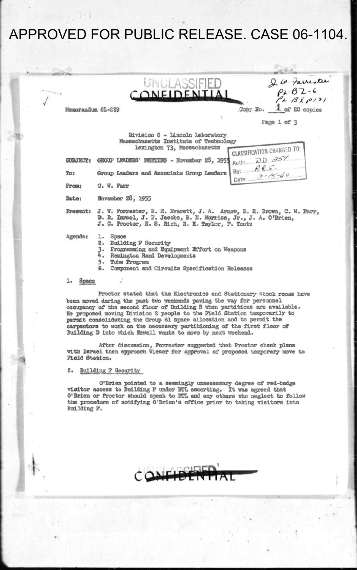# APPROVED FOR PUBLIC RELEASE. CASE 06-1104.

|              | VULASSIFIED |  |
|--------------|-------------|--|
| CONFIDENTIAL |             |  |

**D** *W. Farrester*<br>PL-BZ-6<br>PL BX P131 **Copy Bb. 1- of 20 [cop3.es](http://cop3.es)** 

**Kaaorandue 6L-E29** 

|                            | w<br>÷       | --<br>÷ | ٠<br>٠           |                                   |
|----------------------------|--------------|---------|------------------|-----------------------------------|
| YES.<br>ч.<br>٠.<br>×<br>ï |              | ۰       | ×<br>v<br>×<br>١ | ×.<br>×<br>ч.<br>٦<br>٠<br>Y<br>v |
| ٠<br>X                     | --<br>$\sim$ |         | ÷                |                                   |
|                            | ---          | ×       |                  |                                   |

**Fage 1 of 3** 

 $RRE$ 

 $3 - 15 - 60$ 

By: -

Date:

**Division 6 - Lincoln Laboratory Massachusetts Institute of Technology**  Lexington 73, Massachusetts

LEXINGTON 75, Massachusetts<br>
SUBJECT: GROUP LEADERS' MESTIRG - November 28, 1954 Auth: DD 25% **S0BJECT: GROUP LEADERS' MEETIHS - Hovember 28, 195!J** 

To:

From: C. W. Farr

**Sate: Bovember 28, 1955** 

**Present: J. W. Forrester, B. R. Everett, J. A. Arncnr, D. R. Brcvn, C. W. Farr, D. R. Israel, J . P. Jacobs, B. K, Narrlss, Jr. , J . A. O'Brien,** 

**Agenda: 1. Space** 

**J . C. Proctor, B. S. Rich, 3 . H. Taylor, P. Touts** 

**2 . Building P Security** 

- **3« Programing and Equipment Effort on Weapons**
- *h.* **Remington Rand Developments**
- **5> Tube Program**
- **6. Component and Circuits Specification Releases**

**1. Space** 

**Proctor stated that the Electronics and Stationery stock rocus have been moved during the past two weekends paving the vay for persannel occupancy of the second floor of Building B when partitions are available. He proposed moving Division 2 people to the Field Station temporarily to permit consolidating the Group 61 space allocation and to permit the carpentors to work on the necessary partitioning of the first floor of Building D into which Bewell wants to move by next weekend.** 

**After discussion, Forrester suggested that Proctor check plans with Israel then approach Wleser for approval of proposed temporary move to Field Station.** 

**2. Building g Security** 

**O'Brien pointed to a seemingly unnecessary degree of red-badge visitor access to Building F under BTL escorting. It was agreed that O'Brien or Proctor should speak to BTL and any others vho neglect to follow the procedure of notifying O'Brien's office prior to taking visitors into Building ?.**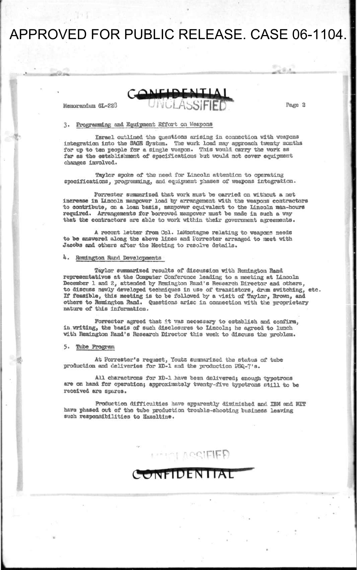## APPROVED FOR PUBLIC RELEASE. CASE 06-1104.

Memorandum 6L-223

Page 2

**rV. I** 

#### **3. Programming and Equipment Effort on Weapons**

**Israel outlined the questions arising in connection vlth weapons integration into the SAGE System. The work load may approach twenty months for up to ten people for a single weapon. This would carry the work as**  far as the establishment of specifications but would not cover equipment **changes involved.** 

**Taylor spoke of the need for Lincoln attention to operating specifications, programing, and equipment phases of weapons integration.** 

**Forrester suwaarized that work must be carried on without a net Increase in Lincoln manpower load by arrangement with the weapons contractors to contribute, on a loan basis, manpower equivalent to the Lincoln nan-hours required. Arrangements for borrowed manpower must be made in such a way that the contractors are able to work within their government agreements.** 

**A recent letter from Col. IaMontagne relating to weapons seeds to be answered along the above lines and Forrester arranged to meet with Jacobs and others after the Meeting to resolve details.** 

#### *h.* **Remington Rand Developments**

**Taylor summarized results of discussion with Remington Rand representatives at the Computer Conference leading to a meeting at Lincoln December 1 and 2, attended by Remington Rand's Research Director and others, to discuss newly developed techniques in use of transistors, drum switching, etc. If feasible, this meeting is to be followed by a visit of Taylor, Brown, and others to Remington Rand. Questions arise in connection with the proprietary nature of this information.** 

**Forrester agreed that it was necessary to establish and confirm, In writing, the basis of such disclosures to Lincoln; he agreed to lunch with Remington Rand's Research Director this week to discuss the problem.** 

**5. Tube Program** 

**At Forrester's request, Youtz sujnaarlzed the status of tube production and deliveries for XD-1 end the production PSQ-7'a.** 

**All charactrons for XD-1 have been delivered; enough typotrons are on hand for operation; approximately twenty-five typotrone still to be received are spores.** 

**Production difficulties have apparently diminished and IBM and KEF have phased out of the tube production trouble-shooting business leaving such responsibilities to Hazeltine.** 

**I** in a right right

### **ONFIDENTIAL**